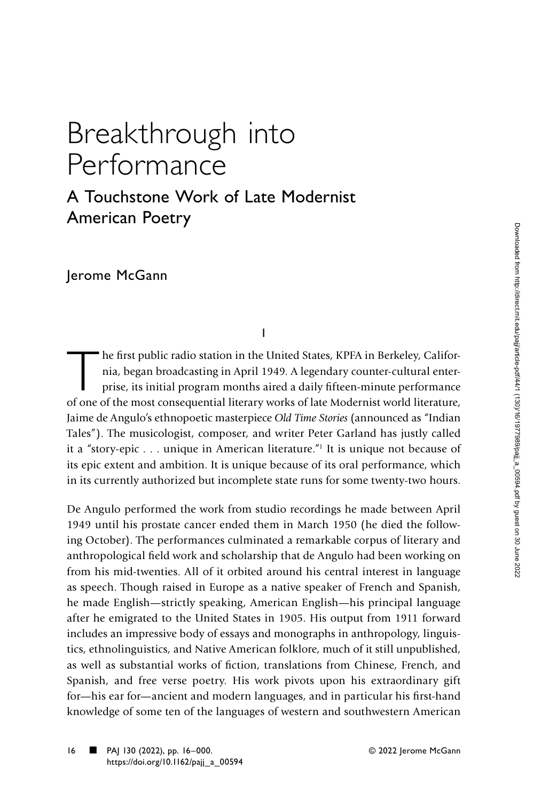## Breakthrough into Performance

## A Touchstone Work of Late Modernist American Poetry

Jerome McGann

I

The first public radio station in the United States, KPFA in Berkeley, California, began broadcasting in April 1949. A legendary counter-cultural enter-<br>prise, its initial program months aired a daily fifteen-minute perfor nia, began broadcasting in April 1949. A legendary counter-cultural enterprise, its initial program months aired a daily fifteen-minute performance of one of the most consequential literary works of late Modernist world literature, Jaime de Angulo's ethnopoetic masterpiece *Old Time Stories* (announced as "Indian Tales"). The musicologist, composer, and writer Peter Garland has justly called it a "story-epic . . . unique in American literature."1 It is unique not because of its epic extent and ambition. It is unique because of its oral performance, which in its currently authorized but incomplete state runs for some twenty-two hours.

De Angulo performed the work from studio recordings he made between April 1949 until his prostate cancer ended them in March 1950 (he died the following October). The performances culminated a remarkable corpus of literary and anthropological field work and scholarship that de Angulo had been working on from his mid-twenties. All of it orbited around his central interest in language as speech. Though raised in Europe as a native speaker of French and Spanish, he made English—strictly speaking, American English—his principal language after he emigrated to the United States in 1905. His output from 1911 forward includes an impressive body of essays and monographs in anthropology, linguistics, ethnolinguistics, and Native American folklore, much of it still unpublished, as well as substantial works of fiction, translations from Chinese, French, and Spanish, and free verse poetry. His work pivots upon his extraordinary gift for—his ear for—ancient and modern languages, and in particular his first-hand knowledge of some ten of the languages of western and southwestern American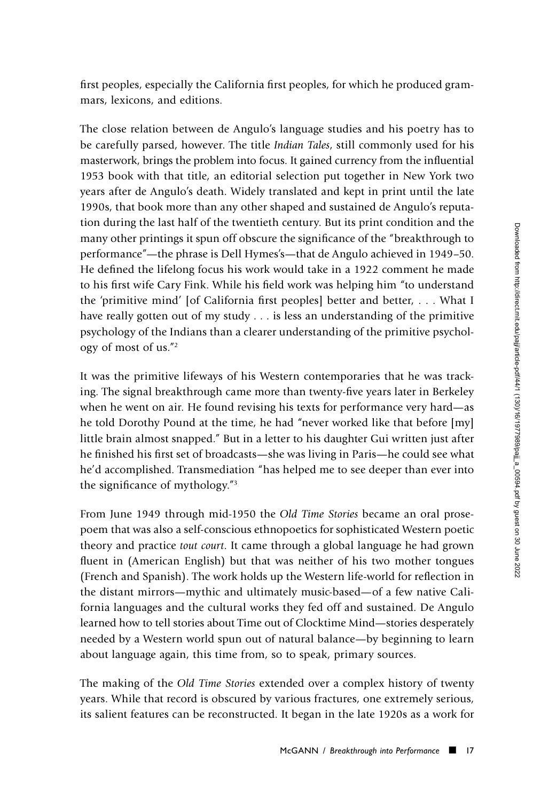first peoples, especially the California first peoples, for which he produced grammars, lexicons, and editions.

The close relation between de Angulo's language studies and his poetry has to be carefully parsed, however. The title *Indian Tales*, still commonly used for his masterwork, brings the problem into focus. It gained currency from the influential 1953 book with that title, an editorial selection put together in New York two years after de Angulo's death. Widely translated and kept in print until the late 1990s, that book more than any other shaped and sustained de Angulo's reputation during the last half of the twentieth century. But its print condition and the many other printings it spun off obscure the significance of the "breakthrough to performance"—the phrase is Dell Hymes's—that de Angulo achieved in 1949–50. He defined the lifelong focus his work would take in a 1922 comment he made to his first wife Cary Fink. While his field work was helping him "to understand the 'primitive mind' [of California first peoples] better and better, . . . What I have really gotten out of my study . . . is less an understanding of the primitive psychology of the Indians than a clearer understanding of the primitive psychology of most of us."2

It was the primitive lifeways of his Western contemporaries that he was tracking. The signal breakthrough came more than twenty-five years later in Berkeley when he went on air. He found revising his texts for performance very hard—as he told Dorothy Pound at the time, he had "never worked like that before [my] little brain almost snapped." But in a letter to his daughter Gui written just after he finished his first set of broadcasts—she was living in Paris—he could see what he'd accomplished. Transmediation "has helped me to see deeper than ever into the significance of mythology."3

From June 1949 through mid-1950 the *Old Time Stories* became an oral prosepoem that was also a self-conscious ethnopoetics for sophisticated Western poetic theory and practice *tout court*. It came through a global language he had grown fluent in (American English) but that was neither of his two mother tongues (French and Spanish). The work holds up the Western life-world for reflection in the distant mirrors—mythic and ultimately music-based—of a few native California languages and the cultural works they fed off and sustained. De Angulo learned how to tell stories about Time out of Clocktime Mind—stories desperately needed by a Western world spun out of natural balance—by beginning to learn about language again, this time from, so to speak, primary sources.

The making of the *Old Time Stories* extended over a complex history of twenty years. While that record is obscured by various fractures, one extremely serious, its salient features can be reconstructed. It began in the late 1920s as a work for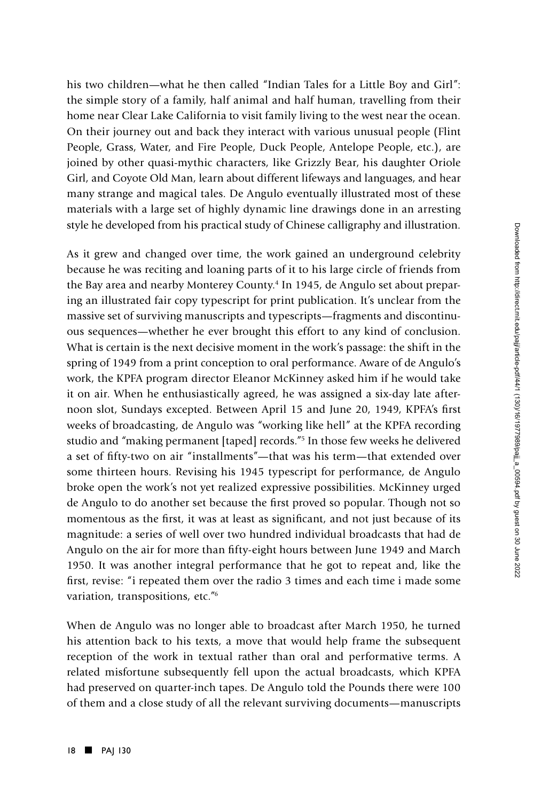his two children—what he then called "Indian Tales for a Little Boy and Girl": the simple story of a family, half animal and half human, travelling from their home near Clear Lake California to visit family living to the west near the ocean. On their journey out and back they interact with various unusual people (Flint People, Grass, Water, and Fire People, Duck People, Antelope People, etc.), are joined by other quasi-mythic characters, like Grizzly Bear, his daughter Oriole Girl, and Coyote Old Man, learn about different lifeways and languages, and hear many strange and magical tales. De Angulo eventually illustrated most of these materials with a large set of highly dynamic line drawings done in an arresting style he developed from his practical study of Chinese calligraphy and illustration.

As it grew and changed over time, the work gained an underground celebrity because he was reciting and loaning parts of it to his large circle of friends from the Bay area and nearby Monterey County.<sup>4</sup> In 1945, de Angulo set about preparing an illustrated fair copy typescript for print publication. It's unclear from the massive set of surviving manuscripts and typescripts—fragments and discontinuous sequences—whether he ever brought this effort to any kind of conclusion. What is certain is the next decisive moment in the work's passage: the shift in the spring of 1949 from a print conception to oral performance. Aware of de Angulo's work, the KPFA program director Eleanor McKinney asked him if he would take it on air. When he enthusiastically agreed, he was assigned a six-day late afternoon slot, Sundays excepted. Between April 15 and June 20, 1949, KPFA's first weeks of broadcasting, de Angulo was "working like hell" at the KPFA recording studio and "making permanent [taped] records."5 In those few weeks he delivered a set of fifty-two on air "installments"—that was his term—that extended over some thirteen hours. Revising his 1945 typescript for performance, de Angulo broke open the work's not yet realized expressive possibilities. McKinney urged de Angulo to do another set because the first proved so popular. Though not so momentous as the first, it was at least as significant, and not just because of its magnitude: a series of well over two hundred individual broadcasts that had de Angulo on the air for more than fifty-eight hours between June 1949 and March 1950. It was another integral performance that he got to repeat and, like the first, revise: "i repeated them over the radio 3 times and each time i made some variation, transpositions, etc."6

When de Angulo was no longer able to broadcast after March 1950, he turned his attention back to his texts, a move that would help frame the subsequent reception of the work in textual rather than oral and performative terms. A related misfortune subsequently fell upon the actual broadcasts, which KPFA had preserved on quarter-inch tapes. De Angulo told the Pounds there were 100 of them and a close study of all the relevant surviving documents—manuscripts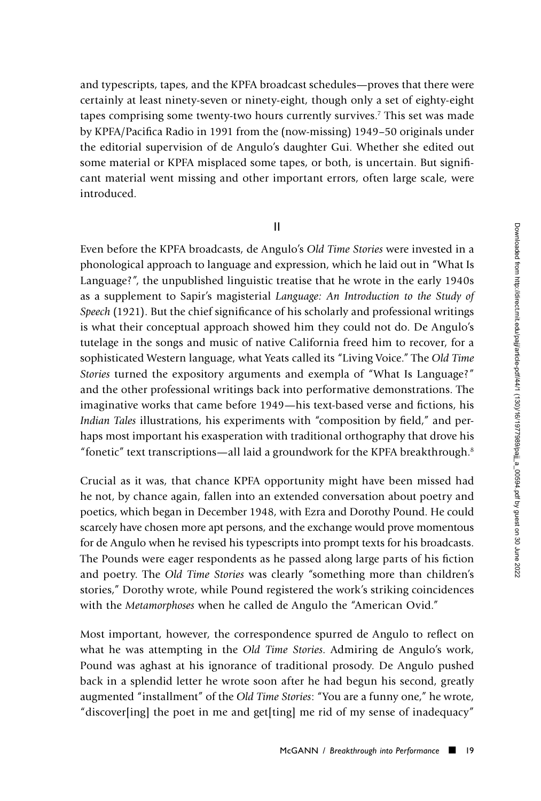and typescripts, tapes, and the KPFA broadcast schedules—proves that there were certainly at least ninety-seven or ninety-eight, though only a set of eighty-eight tapes comprising some twenty-two hours currently survives.7 This set was made by KPFA/Pacifica Radio in 1991 from the (now-missing) 1949–50 originals under the editorial supervision of de Angulo's daughter Gui. Whether she edited out some material or KPFA misplaced some tapes, or both, is uncertain. But significant material went missing and other important errors, often large scale, were introduced.

II

Even before the KPFA broadcasts, de Angulo's *Old Time Stories* were invested in a phonological approach to language and expression, which he laid out in "What Is Language?", the unpublished linguistic treatise that he wrote in the early 1940s as a supplement to Sapir's magisterial *Language: An Introduction to the Study of Speech* (1921). But the chief significance of his scholarly and professional writings is what their conceptual approach showed him they could not do. De Angulo's tutelage in the songs and music of native California freed him to recover, for a sophisticated Western language, what Yeats called its "Living Voice." The *Old Time Stories* turned the expository arguments and exempla of "What Is Language?" and the other professional writings back into performative demonstrations. The imaginative works that came before 1949—his text-based verse and fictions, his *Indian Tales* illustrations, his experiments with "composition by field," and perhaps most important his exasperation with traditional orthography that drove his "fonetic" text transcriptions—all laid a groundwork for the KPFA breakthrough.8

Crucial as it was, that chance KPFA opportunity might have been missed had he not, by chance again, fallen into an extended conversation about poetry and poetics, which began in December 1948, with Ezra and Dorothy Pound. He could scarcely have chosen more apt persons, and the exchange would prove momentous for de Angulo when he revised his typescripts into prompt texts for his broadcasts. The Pounds were eager respondents as he passed along large parts of his fiction and poetry. The *Old Time Stories* was clearly "something more than children's stories," Dorothy wrote, while Pound registered the work's striking coincidences with the *Metamorphoses* when he called de Angulo the "American Ovid."

Most important, however, the correspondence spurred de Angulo to reflect on what he was attempting in the *Old Time Stories*. Admiring de Angulo's work, Pound was aghast at his ignorance of traditional prosody. De Angulo pushed back in a splendid letter he wrote soon after he had begun his second, greatly augmented "installment" of the *Old Time Stories*: "You are a funny one," he wrote, "discover[ing] the poet in me and get[ting] me rid of my sense of inadequacy"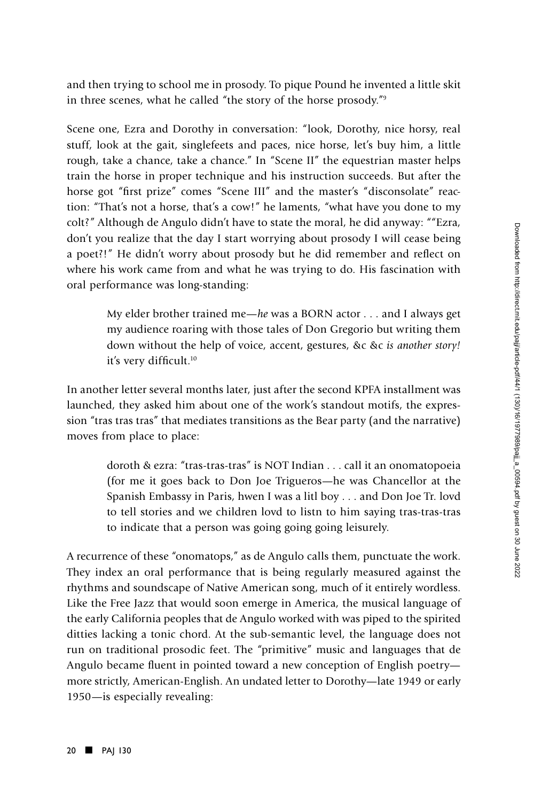and then trying to school me in prosody. To pique Pound he invented a little skit in three scenes, what he called "the story of the horse prosody."9

Scene one, Ezra and Dorothy in conversation: "look, Dorothy, nice horsy, real stuff, look at the gait, singlefeets and paces, nice horse, let's buy him, a little rough, take a chance, take a chance." In "Scene II" the equestrian master helps train the horse in proper technique and his instruction succeeds. But after the horse got "first prize" comes "Scene III" and the master's "disconsolate" reaction: "That's not a horse, that's a cow!" he laments, "what have you done to my colt?" Although de Angulo didn't have to state the moral, he did anyway: ""Ezra, don't you realize that the day I start worrying about prosody I will cease being a poet?!" He didn't worry about prosody but he did remember and reflect on where his work came from and what he was trying to do. His fascination with oral performance was long-standing:

My elder brother trained me—*he* was a BORN actor . . . and I always get my audience roaring with those tales of Don Gregorio but writing them down without the help of voice, accent, gestures, &c &c *is another story!* it's very difficult.10

In another letter several months later, just after the second KPFA installment was launched, they asked him about one of the work's standout motifs, the expression "tras tras tras" that mediates transitions as the Bear party (and the narrative) moves from place to place:

doroth & ezra: "tras-tras-tras" is NOT Indian . . . call it an onomatopoeia (for me it goes back to Don Joe Trigueros—he was Chancellor at the Spanish Embassy in Paris, hwen I was a litl boy . . . and Don Joe Tr. lovd to tell stories and we children lovd to listn to him saying tras-tras-tras to indicate that a person was going going going leisurely.

A recurrence of these "onomatops," as de Angulo calls them, punctuate the work. They index an oral performance that is being regularly measured against the rhythms and soundscape of Native American song, much of it entirely wordless. Like the Free Jazz that would soon emerge in America, the musical language of the early California peoples that de Angulo worked with was piped to the spirited ditties lacking a tonic chord. At the sub-semantic level, the language does not run on traditional prosodic feet. The "primitive" music and languages that de Angulo became fluent in pointed toward a new conception of English poetry more strictly, American-English. An undated letter to Dorothy—late 1949 or early 1950—is especially revealing: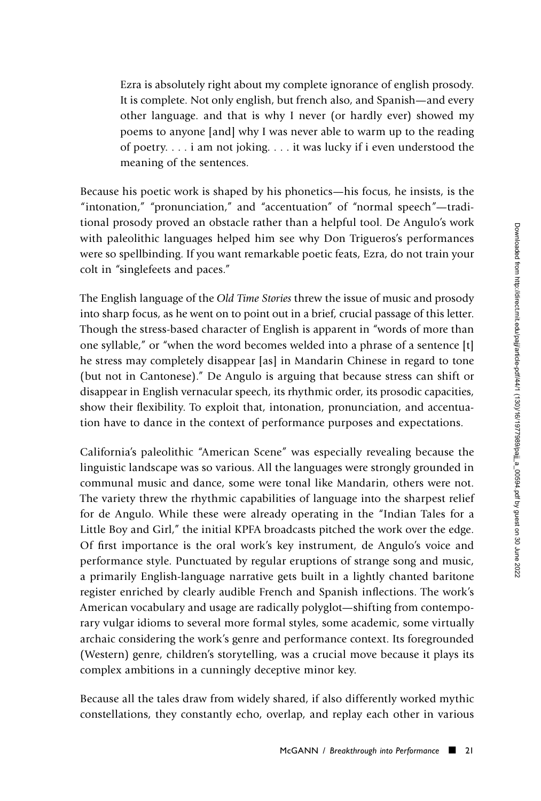Ezra is absolutely right about my complete ignorance of english prosody. It is complete. Not only english, but french also, and Spanish—and every other language. and that is why I never (or hardly ever) showed my poems to anyone [and] why I was never able to warm up to the reading of poetry. . . . i am not joking. . . . it was lucky if i even understood the meaning of the sentences.

Because his poetic work is shaped by his phonetics—his focus, he insists, is the "intonation," "pronunciation," and "accentuation" of "normal speech"—traditional prosody proved an obstacle rather than a helpful tool. De Angulo's work with paleolithic languages helped him see why Don Trigueros's performances were so spellbinding. If you want remarkable poetic feats, Ezra, do not train your colt in "singlefeets and paces."

The English language of the *Old Time Stories* threw the issue of music and prosody into sharp focus, as he went on to point out in a brief, crucial passage of this letter. Though the stress-based character of English is apparent in "words of more than one syllable," or "when the word becomes welded into a phrase of a sentence [t] he stress may completely disappear [as] in Mandarin Chinese in regard to tone (but not in Cantonese)." De Angulo is arguing that because stress can shift or disappear in English vernacular speech, its rhythmic order, its prosodic capacities, show their flexibility. To exploit that, intonation, pronunciation, and accentuation have to dance in the context of performance purposes and expectations.

California's paleolithic "American Scene" was especially revealing because the linguistic landscape was so various. All the languages were strongly grounded in communal music and dance, some were tonal like Mandarin, others were not. The variety threw the rhythmic capabilities of language into the sharpest relief for de Angulo. While these were already operating in the "Indian Tales for a Little Boy and Girl," the initial KPFA broadcasts pitched the work over the edge. Of first importance is the oral work's key instrument, de Angulo's voice and performance style. Punctuated by regular eruptions of strange song and music, a primarily English-language narrative gets built in a lightly chanted baritone register enriched by clearly audible French and Spanish inflections. The work's American vocabulary and usage are radically polyglot—shifting from contemporary vulgar idioms to several more formal styles, some academic, some virtually archaic considering the work's genre and performance context. Its foregrounded (Western) genre, children's storytelling, was a crucial move because it plays its complex ambitions in a cunningly deceptive minor key.

Because all the tales draw from widely shared, if also differently worked mythic constellations, they constantly echo, overlap, and replay each other in various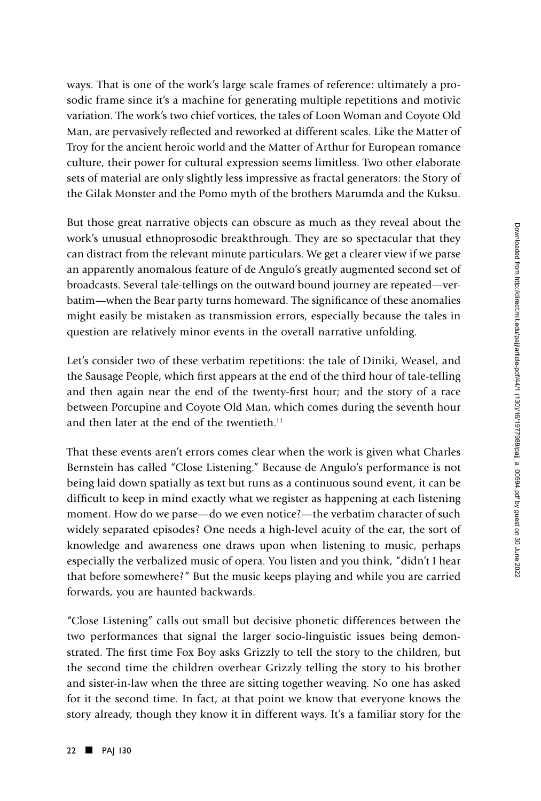ways. That is one of the work's large scale frames of reference: ultimately a prosodic frame since it's a machine for generating multiple repetitions and motivic variation. The work's two chief vortices, the tales of Loon Woman and Coyote Old Man, are pervasively reflected and reworked at different scales. Like the Matter of Troy for the ancient heroic world and the Matter of Arthur for European romance culture, their power for cultural expression seems limitless. Two other elaborate sets of material are only slightly less impressive as fractal generators: the Story of the Gilak Monster and the Pomo myth of the brothers Marumda and the Kuksu.

But those great narrative objects can obscure as much as they reveal about the work's unusual ethnoprosodic breakthrough. They are so spectacular that they can distract from the relevant minute particulars. We get a clearer view if we parse an apparently anomalous feature of de Angulo's greatly augmented second set of broadcasts. Several tale-tellings on the outward bound journey are repeated—verbatim—when the Bear party turns homeward. The significance of these anomalies might easily be mistaken as transmission errors, especially because the tales in question are relatively minor events in the overall narrative unfolding.

Let's consider two of these verbatim repetitions: the tale of Diniki, Weasel, and the Sausage People, which first appears at the end of the third hour of tale-telling and then again near the end of the twenty-first hour; and the story of a race between Porcupine and Coyote Old Man, which comes during the seventh hour and then later at the end of the twentieth. $11$ 

That these events aren't errors comes clear when the work is given what Charles Bernstein has called "Close Listening." Because de Angulo's performance is not being laid down spatially as text but runs as a continuous sound event, it can be difficult to keep in mind exactly what we register as happening at each listening moment. How do we parse—do we even notice?—the verbatim character of such widely separated episodes? One needs a high-level acuity of the ear, the sort of knowledge and awareness one draws upon when listening to music, perhaps especially the verbalized music of opera. You listen and you think, "didn't I hear that before somewhere?" But the music keeps playing and while you are carried forwards, you are haunted backwards.

"Close Listening" calls out small but decisive phonetic differences between the two performances that signal the larger socio-linguistic issues being demonstrated. The first time Fox Boy asks Grizzly to tell the story to the children, but the second time the children overhear Grizzly telling the story to his brother and sister-in-law when the three are sitting together weaving. No one has asked for it the second time. In fact, at that point we know that everyone knows the story already, though they know it in different ways. It's a familiar story for the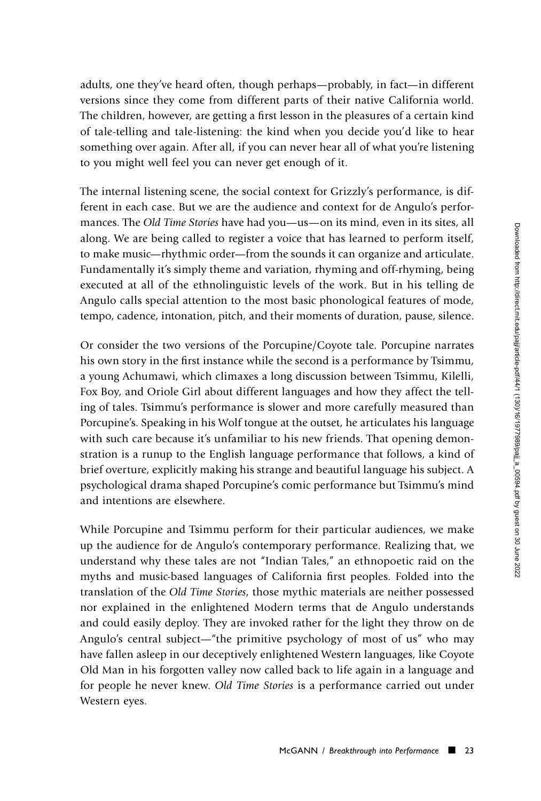adults, one they've heard often, though perhaps—probably, in fact—in different versions since they come from different parts of their native California world. The children, however, are getting a first lesson in the pleasures of a certain kind of tale-telling and tale-listening: the kind when you decide you'd like to hear something over again. After all, if you can never hear all of what you're listening to you might well feel you can never get enough of it.

The internal listening scene, the social context for Grizzly's performance, is different in each case. But we are the audience and context for de Angulo's performances. The *Old Time Stories* have had you—us—on its mind, even in its sites, all along. We are being called to register a voice that has learned to perform itself, to make music—rhythmic order—from the sounds it can organize and articulate. Fundamentally it's simply theme and variation, rhyming and off-rhyming, being executed at all of the ethnolinguistic levels of the work. But in his telling de Angulo calls special attention to the most basic phonological features of mode, tempo, cadence, intonation, pitch, and their moments of duration, pause, silence.

Or consider the two versions of the Porcupine/Coyote tale. Porcupine narrates his own story in the first instance while the second is a performance by Tsimmu, a young Achumawi, which climaxes a long discussion between Tsimmu, Kilelli, Fox Boy, and Oriole Girl about different languages and how they affect the telling of tales. Tsimmu's performance is slower and more carefully measured than Porcupine's. Speaking in his Wolf tongue at the outset, he articulates his language with such care because it's unfamiliar to his new friends. That opening demonstration is a runup to the English language performance that follows, a kind of brief overture, explicitly making his strange and beautiful language his subject. A psychological drama shaped Porcupine's comic performance but Tsimmu's mind and intentions are elsewhere.

While Porcupine and Tsimmu perform for their particular audiences, we make up the audience for de Angulo's contemporary performance. Realizing that, we understand why these tales are not "Indian Tales," an ethnopoetic raid on the myths and music-based languages of California first peoples. Folded into the translation of the *Old Time Stories*, those mythic materials are neither possessed nor explained in the enlightened Modern terms that de Angulo understands and could easily deploy. They are invoked rather for the light they throw on de Angulo's central subject—"the primitive psychology of most of us" who may have fallen asleep in our deceptively enlightened Western languages, like Coyote Old Man in his forgotten valley now called back to life again in a language and for people he never knew. *Old Time Stories* is a performance carried out under Western eyes.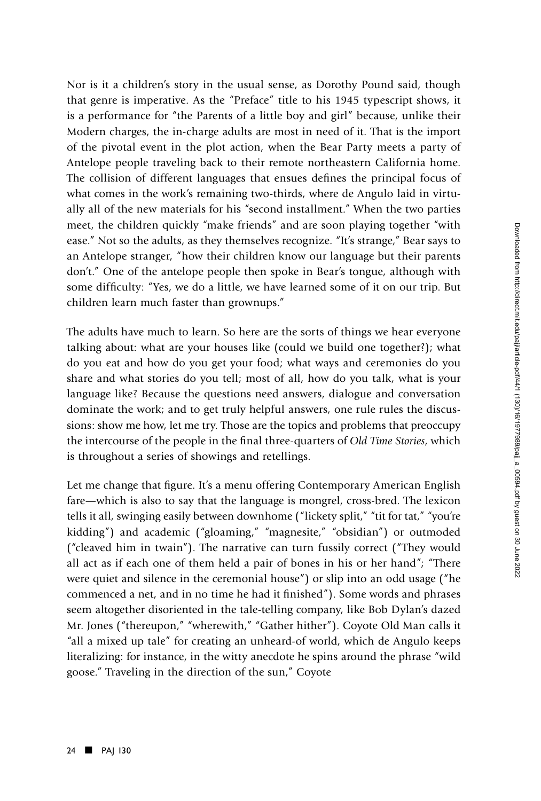Nor is it a children's story in the usual sense, as Dorothy Pound said, though that genre is imperative. As the "Preface" title to his 1945 typescript shows, it is a performance for "the Parents of a little boy and girl" because, unlike their Modern charges, the in-charge adults are most in need of it. That is the import of the pivotal event in the plot action, when the Bear Party meets a party of Antelope people traveling back to their remote northeastern California home. The collision of different languages that ensues defines the principal focus of what comes in the work's remaining two-thirds, where de Angulo laid in virtually all of the new materials for his "second installment." When the two parties meet, the children quickly "make friends" and are soon playing together "with ease." Not so the adults, as they themselves recognize. "It's strange," Bear says to an Antelope stranger, "how their children know our language but their parents don't." One of the antelope people then spoke in Bear's tongue, although with some difficulty: "Yes, we do a little, we have learned some of it on our trip. But children learn much faster than grownups."

The adults have much to learn. So here are the sorts of things we hear everyone talking about: what are your houses like (could we build one together?); what do you eat and how do you get your food; what ways and ceremonies do you share and what stories do you tell; most of all, how do you talk, what is your language like? Because the questions need answers, dialogue and conversation dominate the work; and to get truly helpful answers, one rule rules the discussions: show me how, let me try. Those are the topics and problems that preoccupy the intercourse of the people in the final three-quarters of *Old Time Stories*, which is throughout a series of showings and retellings.

Let me change that figure. It's a menu offering Contemporary American English fare—which is also to say that the language is mongrel, cross-bred. The lexicon tells it all, swinging easily between downhome ("lickety split," "tit for tat," "you're kidding") and academic ("gloaming," "magnesite," "obsidian") or outmoded ("cleaved him in twain"). The narrative can turn fussily correct ("They would all act as if each one of them held a pair of bones in his or her hand"; "There were quiet and silence in the ceremonial house") or slip into an odd usage ("he commenced a net, and in no time he had it finished"). Some words and phrases seem altogether disoriented in the tale-telling company, like Bob Dylan's dazed Mr. Jones ("thereupon," "wherewith," "Gather hither"). Coyote Old Man calls it "all a mixed up tale" for creating an unheard-of world, which de Angulo keeps literalizing: for instance, in the witty anecdote he spins around the phrase "wild goose." Traveling in the direction of the sun," Coyote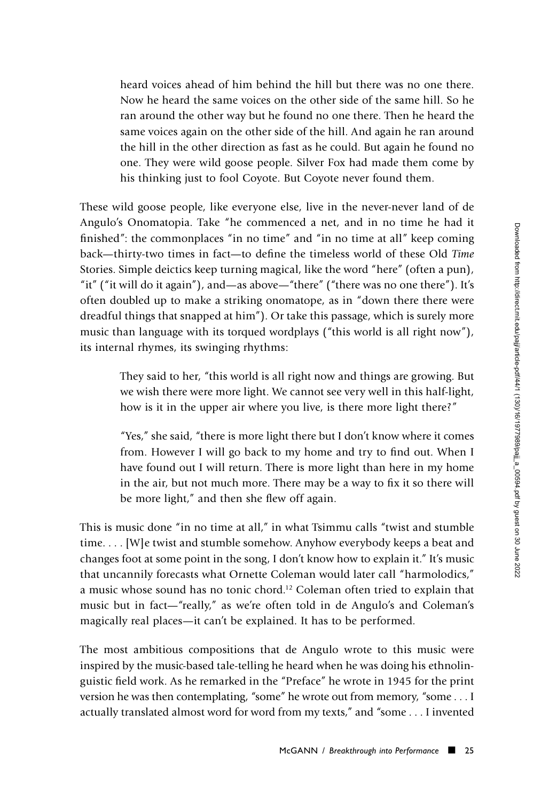heard voices ahead of him behind the hill but there was no one there. Now he heard the same voices on the other side of the same hill. So he ran around the other way but he found no one there. Then he heard the same voices again on the other side of the hill. And again he ran around the hill in the other direction as fast as he could. But again he found no one. They were wild goose people. Silver Fox had made them come by his thinking just to fool Coyote. But Coyote never found them.

These wild goose people, like everyone else, live in the never-never land of de Angulo's Onomatopia. Take "he commenced a net, and in no time he had it finished": the commonplaces "in no time" and "in no time at all" keep coming back—thirty-two times in fact—to define the timeless world of these Old *Time* Stories. Simple deictics keep turning magical, like the word "here" (often a pun), "it" ("it will do it again"), and—as above—"there" ("there was no one there"). It's often doubled up to make a striking onomatope, as in "down there there were dreadful things that snapped at him"). Or take this passage, which is surely more music than language with its torqued wordplays ("this world is all right now"), its internal rhymes, its swinging rhythms:

> They said to her, "this world is all right now and things are growing. But we wish there were more light. We cannot see very well in this half-light, how is it in the upper air where you live, is there more light there?"

> "Yes," she said, "there is more light there but I don't know where it comes from. However I will go back to my home and try to find out. When I have found out I will return. There is more light than here in my home in the air, but not much more. There may be a way to fix it so there will be more light," and then she flew off again.

This is music done "in no time at all," in what Tsimmu calls "twist and stumble time. . . . [W]e twist and stumble somehow. Anyhow everybody keeps a beat and changes foot at some point in the song, I don't know how to explain it." It's music that uncannily forecasts what Ornette Coleman would later call "harmolodics," a music whose sound has no tonic chord.12 Coleman often tried to explain that music but in fact—"really," as we're often told in de Angulo's and Coleman's magically real places—it can't be explained. It has to be performed.

The most ambitious compositions that de Angulo wrote to this music were inspired by the music-based tale-telling he heard when he was doing his ethnolinguistic field work. As he remarked in the "Preface" he wrote in 1945 for the print version he was then contemplating, "some" he wrote out from memory, "some . . . I actually translated almost word for word from my texts," and "some . . . I invented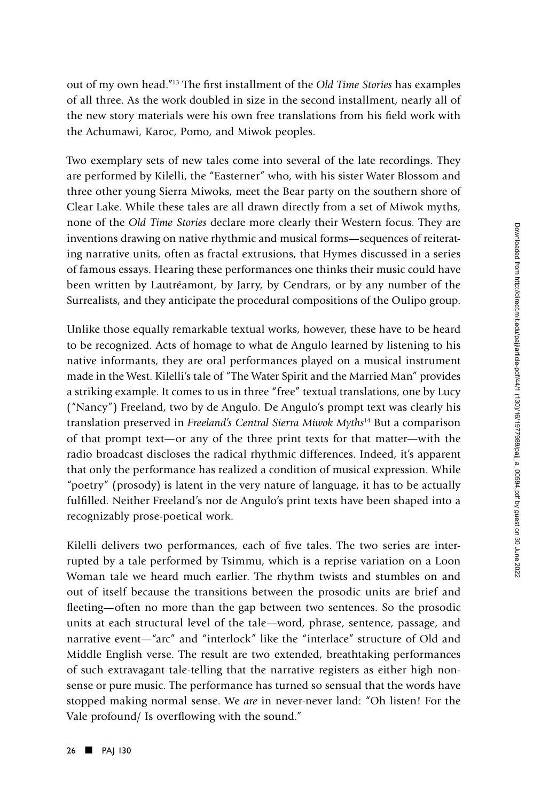out of my own head."13 The first installment of the *Old Time Stories* has examples of all three. As the work doubled in size in the second installment, nearly all of the new story materials were his own free translations from his field work with the Achumawi, Karoc, Pomo, and Miwok peoples.

Two exemplary sets of new tales come into several of the late recordings. They are performed by Kilelli, the "Easterner" who, with his sister Water Blossom and three other young Sierra Miwoks, meet the Bear party on the southern shore of Clear Lake. While these tales are all drawn directly from a set of Miwok myths, none of the *Old Time Stories* declare more clearly their Western focus. They are inventions drawing on native rhythmic and musical forms—sequences of reiterating narrative units, often as fractal extrusions, that Hymes discussed in a series of famous essays. Hearing these performances one thinks their music could have been written by Lautréamont, by Jarry, by Cendrars, or by any number of the Surrealists, and they anticipate the procedural compositions of the Oulipo group.

Unlike those equally remarkable textual works, however, these have to be heard to be recognized. Acts of homage to what de Angulo learned by listening to his native informants, they are oral performances played on a musical instrument made in the West. Kilelli's tale of "The Water Spirit and the Married Man" provides a striking example. It comes to us in three "free" textual translations, one by Lucy ("Nancy") Freeland, two by de Angulo. De Angulo's prompt text was clearly his translation preserved in *Freeland's Central Sierra Miwok Myths*14 But a comparison of that prompt text—or any of the three print texts for that matter—with the radio broadcast discloses the radical rhythmic differences. Indeed, it's apparent that only the performance has realized a condition of musical expression. While "poetry" (prosody) is latent in the very nature of language, it has to be actually fulfilled. Neither Freeland's nor de Angulo's print texts have been shaped into a recognizably prose-poetical work.

Kilelli delivers two performances, each of five tales. The two series are interrupted by a tale performed by Tsimmu, which is a reprise variation on a Loon Woman tale we heard much earlier. The rhythm twists and stumbles on and out of itself because the transitions between the prosodic units are brief and fleeting—often no more than the gap between two sentences. So the prosodic units at each structural level of the tale—word, phrase, sentence, passage, and narrative event—"arc" and "interlock" like the "interlace" structure of Old and Middle English verse. The result are two extended, breathtaking performances of such extravagant tale-telling that the narrative registers as either high nonsense or pure music. The performance has turned so sensual that the words have stopped making normal sense. We *are* in never-never land: "Oh listen! For the Vale profound/ Is overflowing with the sound."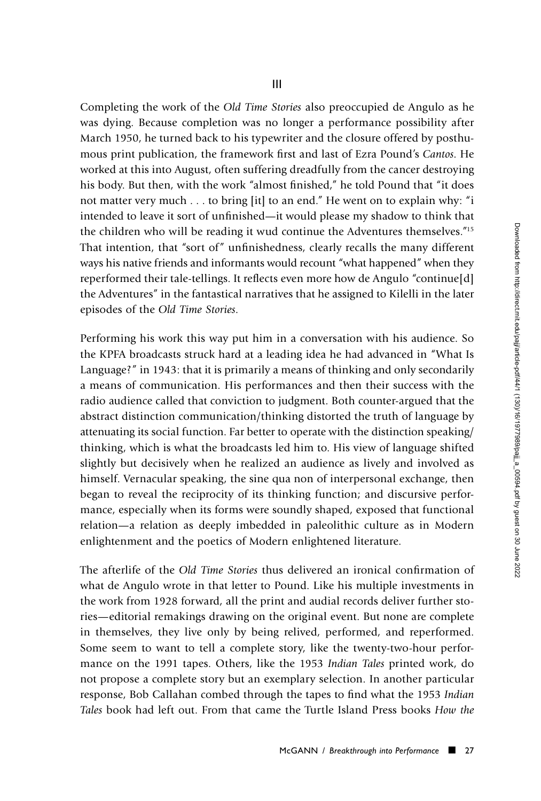III

Completing the work of the *Old Time Stories* also preoccupied de Angulo as he was dying. Because completion was no longer a performance possibility after March 1950, he turned back to his typewriter and the closure offered by posthumous print publication, the framework first and last of Ezra Pound's *Cantos*. He worked at this into August, often suffering dreadfully from the cancer destroying his body. But then, with the work "almost finished," he told Pound that "it does not matter very much . . . to bring [it] to an end." He went on to explain why: "i intended to leave it sort of unfinished—it would please my shadow to think that the children who will be reading it wud continue the Adventures themselves."15 That intention, that "sort of" unfinishedness, clearly recalls the many different ways his native friends and informants would recount "what happened" when they reperformed their tale-tellings. It reflects even more how de Angulo "continue[d] the Adventures" in the fantastical narratives that he assigned to Kilelli in the later episodes of the *Old Time Stories*.

Performing his work this way put him in a conversation with his audience. So the KPFA broadcasts struck hard at a leading idea he had advanced in "What Is Language?" in 1943: that it is primarily a means of thinking and only secondarily a means of communication. His performances and then their success with the radio audience called that conviction to judgment. Both counter-argued that the abstract distinction communication/thinking distorted the truth of language by attenuating its social function. Far better to operate with the distinction speaking/ thinking, which is what the broadcasts led him to. His view of language shifted slightly but decisively when he realized an audience as lively and involved as himself. Vernacular speaking, the sine qua non of interpersonal exchange, then began to reveal the reciprocity of its thinking function; and discursive performance, especially when its forms were soundly shaped, exposed that functional relation—a relation as deeply imbedded in paleolithic culture as in Modern enlightenment and the poetics of Modern enlightened literature.

The afterlife of the *Old Time Stories* thus delivered an ironical confirmation of what de Angulo wrote in that letter to Pound. Like his multiple investments in the work from 1928 forward, all the print and audial records deliver further stories—editorial remakings drawing on the original event. But none are complete in themselves, they live only by being relived, performed, and reperformed. Some seem to want to tell a complete story, like the twenty-two-hour performance on the 1991 tapes. Others, like the 1953 *Indian Tales* printed work, do not propose a complete story but an exemplary selection. In another particular response, Bob Callahan combed through the tapes to find what the 1953 *Indian Tales* book had left out. From that came the Turtle Island Press books *How the*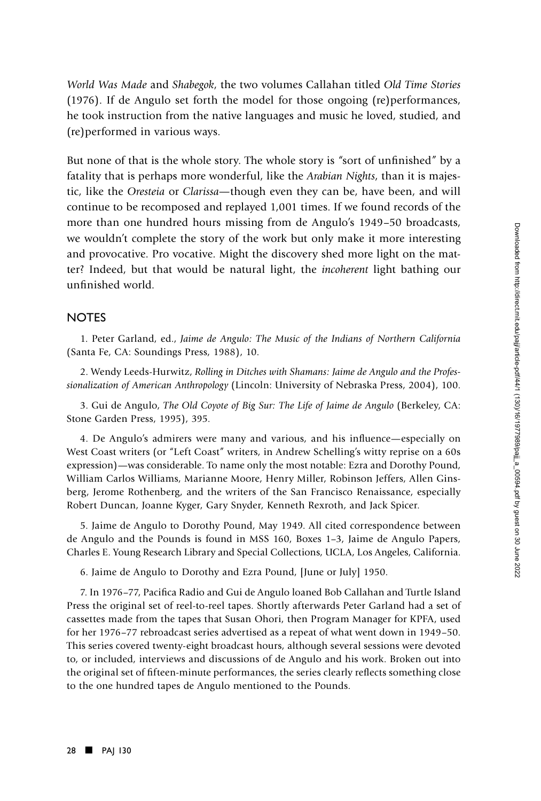*World Was Made* and *Shabegok*, the two volumes Callahan titled *Old Time Stories* (1976). If de Angulo set forth the model for those ongoing (re)performances, he took instruction from the native languages and music he loved, studied, and (re)performed in various ways.

But none of that is the whole story. The whole story is "sort of unfinished" by a fatality that is perhaps more wonderful, like the *Arabian Nights*, than it is majestic, like the *Oresteia* or *Clarissa—*though even they can be, have been, and will continue to be recomposed and replayed 1,001 times. If we found records of the more than one hundred hours missing from de Angulo's 1949–50 broadcasts, we wouldn't complete the story of the work but only make it more interesting and provocative. Pro vocative. Might the discovery shed more light on the matter? Indeed, but that would be natural light, the *incoherent* light bathing our unfinished world.

## **NOTES**

1. Peter Garland, ed., *Jaime de Angulo: The Music of the Indians of Northern California* (Santa Fe, CA: Soundings Press, 1988), 10.

2. Wendy Leeds-Hurwitz, *Rolling in Ditches with Shamans: Jaime de Angulo and the Professionalization of American Anthropology* (Lincoln: University of Nebraska Press, 2004), 100.

3. Gui de Angulo, *The Old Coyote of Big Sur: The Life of Jaime de Angulo* (Berkeley, CA: Stone Garden Press, 1995), 395.

4. De Angulo's admirers were many and various, and his influence—especially on West Coast writers (or "Left Coast" writers, in Andrew Schelling's witty reprise on a 60s expression)—was considerable. To name only the most notable: Ezra and Dorothy Pound, William Carlos Williams, Marianne Moore, Henry Miller, Robinson Jeffers, Allen Ginsberg, Jerome Rothenberg, and the writers of the San Francisco Renaissance, especially Robert Duncan, Joanne Kyger, Gary Snyder, Kenneth Rexroth, and Jack Spicer.

5. Jaime de Angulo to Dorothy Pound, May 1949. All cited correspondence between de Angulo and the Pounds is found in MSS 160, Boxes 1–3, Jaime de Angulo Papers, Charles E. Young Research Library and Special Collections, UCLA, Los Angeles, California.

6. Jaime de Angulo to Dorothy and Ezra Pound, [June or July] 1950.

7. In 1976–77, Pacifica Radio and Gui de Angulo loaned Bob Callahan and Turtle Island Press the original set of reel-to-reel tapes. Shortly afterwards Peter Garland had a set of cassettes made from the tapes that Susan Ohori, then Program Manager for KPFA, used for her 1976–77 rebroadcast series advertised as a repeat of what went down in 1949–50. This series covered twenty-eight broadcast hours, although several sessions were devoted to, or included, interviews and discussions of de Angulo and his work. Broken out into the original set of fifteen-minute performances, the series clearly reflects something close to the one hundred tapes de Angulo mentioned to the Pounds.